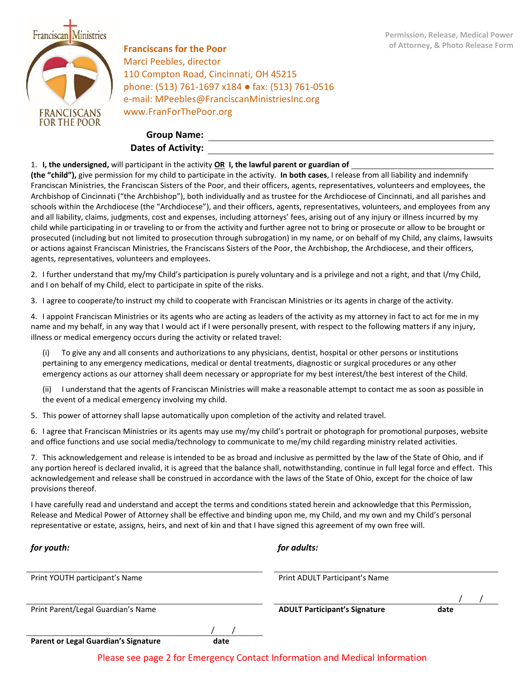

**of Attorney, & Photo Release Form Franciscans for the Poor** Marci Peebles, director 110 Compton Road, Cincinnati, OH 45215 phone: (513) 761-1697 x184 ● fax: (513) 761-0516 e-mail: MPeebles@FranciscanMinistriesInc.org www.FranForThePoor.org

## **Group Name: Dates of Activity:**

## 1. **I, the undersigned,** will participant in the activity **OR I, the lawful parent or guardian of**

**(the "child"),** give permission for my child to participate in the activity. **In both cases**, I release from all liability and indemnify Franciscan Ministries, the Franciscan Sisters of the Poor, and their officers, agents, representatives, volunteers and employees, the Archbishop of Cincinnati ("the Archbishop"), both individually and as trustee for the Archdiocese of Cincinnati, and all parishes and schools within the Archdiocese (the "Archdiocese"), and their officers, agents, representatives, volunteers, and employees from any and all liability, claims, judgments, cost and expenses, including attorneys' fees, arising out of any injury or illness incurred by my child while participating in or traveling to or from the activity and further agree not to bring or prosecute or allow to be brought or prosecuted (including but not limited to prosecution through subrogation) in my name, or on behalf of my Child, any claims, lawsuits or actions against Franciscan Ministries, the Franciscans Sisters of the Poor, the Archbishop, the Archdiocese, and their officers, agents, representatives, volunteers and employees.

2. I further understand that my/my Child's participation is purely voluntary and is a privilege and not a right, and that I/my Child, and I on behalf of my Child, elect to participate in spite of the risks.

3. I agree to cooperate/to instruct my child to cooperate with Franciscan Ministries or its agents in charge of the activity.

4. I appoint Franciscan Ministries or its agents who are acting as leaders of the activity as my attorney in fact to act for me in my name and my behalf, in any way that I would act if I were personally present, with respect to the following matters if any injury, illness or medical emergency occurs during the activity or related travel:

(i) To give any and all consents and authorizations to any physicians, dentist, hospital or other persons or institutions pertaining to any emergency medications, medical or dental treatments, diagnostic or surgical procedures or any other emergency actions as our attorney shall deem necessary or appropriate for my best interest/the best interest of the Child.

(ii) I understand that the agents of Franciscan Ministries will make a reasonable attempt to contact me as soon as possible in the event of a medical emergency involving my child.

5. This power of attorney shall lapse automatically upon completion of the activity and related travel.

6. I agree that Franciscan Ministries or its agents may use my/my child's portrait or photograph for promotional purposes, website and office functions and use social media/technology to communicate to me/my child regarding ministry related activities.

7. This acknowledgement and release is intended to be as broad and inclusive as permitted by the law of the State of Ohio, and if any portion hereof is declared invalid, it is agreed that the balance shall, notwithstanding, continue in full legal force and effect. This acknowledgement and release shall be construed in accordance with the laws of the State of Ohio, except for the choice of law provisions thereof.

I have carefully read and understand and accept the terms and conditions stated herein and acknowledge that this Permission, Release and Medical Power of Attorney shall be effective and binding upon me, my Child, and my own and my Child's personal representative or estate, assigns, heirs, and next of kin and that I have signed this agreement of my own free will.

| for youth:                         |  | for adults:                          |      |  |
|------------------------------------|--|--------------------------------------|------|--|
| Print YOUTH participant's Name     |  | Print ADULT Participant's Name       |      |  |
|                                    |  |                                      |      |  |
| Print Parent/Legal Guardian's Name |  | <b>ADULT Participant's Signature</b> | date |  |
|                                    |  |                                      |      |  |

**Parent or Legal Guardian's Signature date**

Please see page 2 for Emergency Contact Information and Medical Information